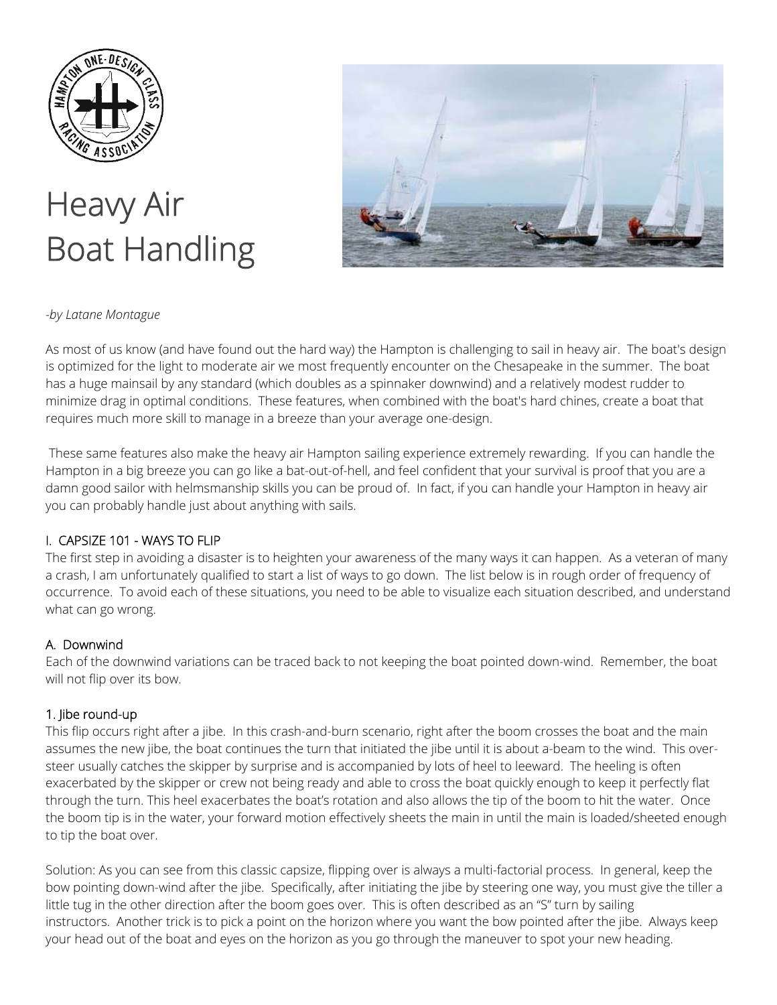

# Heavy Air Boat Handling



## *-by Latane Montague*

As most of us know (and have found out the hard way) the Hampton is challenging to sail in heavy air. The boat's design is optimized for the light to moderate air we most frequently encounter on the Chesapeake in the summer. The boat has a huge mainsail by any standard (which doubles as a spinnaker downwind) and a relatively modest rudder to minimize drag in optimal conditions. These features, when combined with the boat's hard chines, create a boat that requires much more skill to manage in a breeze than your average one-design.

 These same features also make the heavy air Hampton sailing experience extremely rewarding. If you can handle the Hampton in a big breeze you can go like a bat-out-of-hell, and feel confident that your survival is proof that you are a damn good sailor with helmsmanship skills you can be proud of. In fact, if you can handle your Hampton in heavy air you can probably handle just about anything with sails.

#### I. CAPSIZE 101 - WAYS TO FLIP

The first step in avoiding a disaster is to heighten your awareness of the many ways it can happen. As a veteran of many a crash, I am unfortunately qualified to start a list of ways to go down. The list below is in rough order of frequency of occurrence. To avoid each of these situations, you need to be able to visualize each situation described, and understand what can go wrong.

#### A. Downwind

Each of the downwind variations can be traced back to not keeping the boat pointed down-wind. Remember, the boat will not flip over its bow.

#### 1. Jibe round-up

This flip occurs right after a jibe. In this crash-and-burn scenario, right after the boom crosses the boat and the main assumes the new jibe, the boat continues the turn that initiated the jibe until it is about a-beam to the wind. This oversteer usually catches the skipper by surprise and is accompanied by lots of heel to leeward. The heeling is often exacerbated by the skipper or crew not being ready and able to cross the boat quickly enough to keep it perfectly flat through the turn. This heel exacerbates the boat's rotation and also allows the tip of the boom to hit the water. Once the boom tip is in the water, your forward motion effectively sheets the main in until the main is loaded/sheeted enough to tip the boat over.

Solution: As you can see from this classic capsize, flipping over is always a multi-factorial process. In general, keep the bow pointing down-wind after the jibe. Specifically, after initiating the jibe by steering one way, you must give the tiller a little tug in the other direction after the boom goes over. This is often described as an "S" turn by sailing instructors. Another trick is to pick a point on the horizon where you want the bow pointed after the jibe. Always keep your head out of the boat and eyes on the horizon as you go through the maneuver to spot your new heading.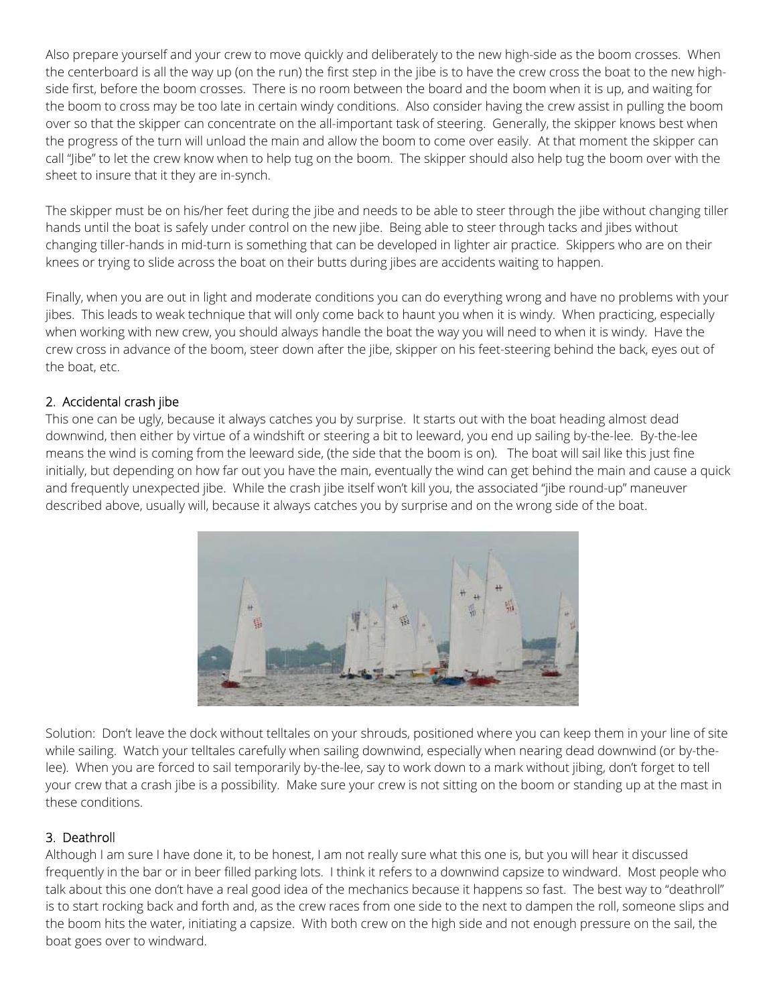Also prepare yourself and your crew to move quickly and deliberately to the new high-side as the boom crosses. When the centerboard is all the way up (on the run) the first step in the jibe is to have the crew cross the boat to the new highside first, before the boom crosses. There is no room between the board and the boom when it is up, and waiting for the boom to cross may be too late in certain windy conditions. Also consider having the crew assist in pulling the boom over so that the skipper can concentrate on the all-important task of steering. Generally, the skipper knows best when the progress of the turn will unload the main and allow the boom to come over easily. At that moment the skipper can call "Jibe" to let the crew know when to help tug on the boom. The skipper should also help tug the boom over with the sheet to insure that it they are in-synch.

The skipper must be on his/her feet during the jibe and needs to be able to steer through the jibe without changing tiller hands until the boat is safely under control on the new jibe. Being able to steer through tacks and jibes without changing tiller-hands in mid-turn is something that can be developed in lighter air practice. Skippers who are on their knees or trying to slide across the boat on their butts during jibes are accidents waiting to happen.

Finally, when you are out in light and moderate conditions you can do everything wrong and have no problems with your jibes. This leads to weak technique that will only come back to haunt you when it is windy. When practicing, especially when working with new crew, you should always handle the boat the way you will need to when it is windy. Have the crew cross in advance of the boom, steer down after the jibe, skipper on his feet-steering behind the back, eyes out of the boat, etc.

# 2. Accidental crash jibe

This one can be ugly, because it always catches you by surprise. It starts out with the boat heading almost dead downwind, then either by virtue of a windshift or steering a bit to leeward, you end up sailing by-the-lee. By-the-lee means the wind is coming from the leeward side, (the side that the boom is on). The boat will sail like this just fine initially, but depending on how far out you have the main, eventually the wind can get behind the main and cause a quick and frequently unexpected jibe. While the crash jibe itself won't kill you, the associated "jibe round-up" maneuver described above, usually will, because it always catches you by surprise and on the wrong side of the boat.



Solution: Don't leave the dock without telltales on your shrouds, positioned where you can keep them in your line of site while sailing. Watch your telltales carefully when sailing downwind, especially when nearing dead downwind (or by-thelee). When you are forced to sail temporarily by-the-lee, say to work down to a mark without jibing, don't forget to tell your crew that a crash jibe is a possibility. Make sure your crew is not sitting on the boom or standing up at the mast in these conditions.

#### 3. Deathroll

Although I am sure I have done it, to be honest, I am not really sure what this one is, but you will hear it discussed frequently in the bar or in beer filled parking lots. I think it refers to a downwind capsize to windward. Most people who talk about this one don't have a real good idea of the mechanics because it happens so fast. The best way to "deathroll" is to start rocking back and forth and, as the crew races from one side to the next to dampen the roll, someone slips and the boom hits the water, initiating a capsize. With both crew on the high side and not enough pressure on the sail, the boat goes over to windward.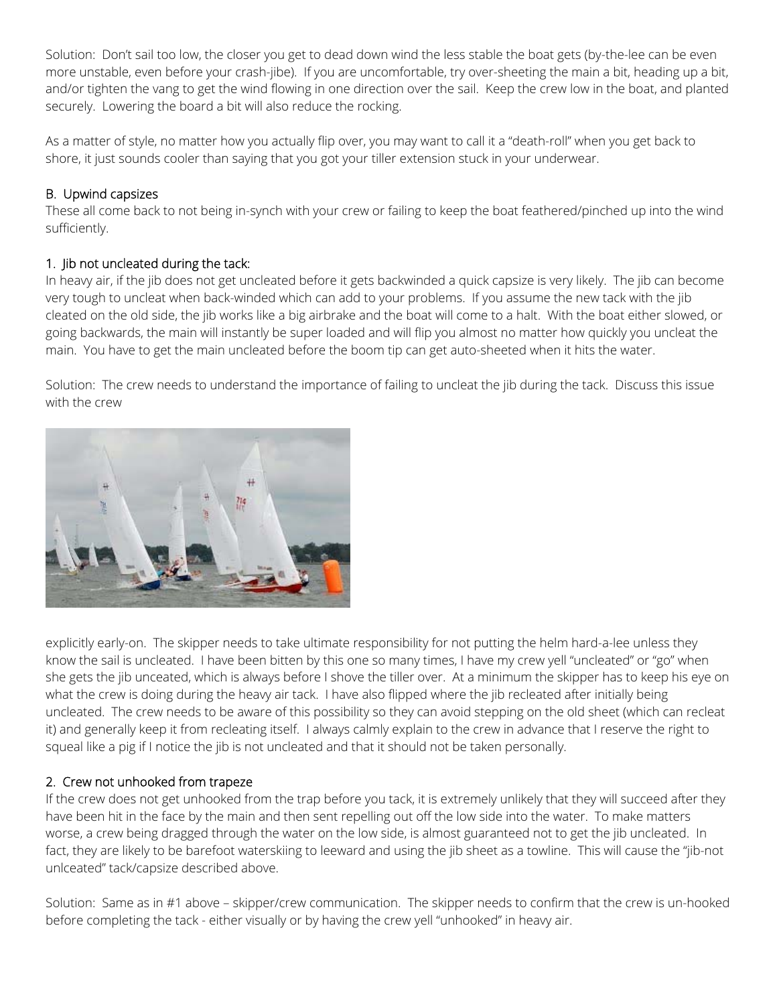Solution: Don't sail too low, the closer you get to dead down wind the less stable the boat gets (by-the-lee can be even more unstable, even before your crash-jibe). If you are uncomfortable, try over-sheeting the main a bit, heading up a bit, and/or tighten the vang to get the wind flowing in one direction over the sail. Keep the crew low in the boat, and planted securely. Lowering the board a bit will also reduce the rocking.

As a matter of style, no matter how you actually flip over, you may want to call it a "death-roll" when you get back to shore, it just sounds cooler than saying that you got your tiller extension stuck in your underwear.

## B. Upwind capsizes

These all come back to not being in-synch with your crew or failing to keep the boat feathered/pinched up into the wind sufficiently.

## 1. Jib not uncleated during the tack:

In heavy air, if the jib does not get uncleated before it gets backwinded a quick capsize is very likely. The jib can become very tough to uncleat when back-winded which can add to your problems. If you assume the new tack with the jib cleated on the old side, the jib works like a big airbrake and the boat will come to a halt. With the boat either slowed, or going backwards, the main will instantly be super loaded and will flip you almost no matter how quickly you uncleat the main. You have to get the main uncleated before the boom tip can get auto-sheeted when it hits the water.

Solution: The crew needs to understand the importance of failing to uncleat the jib during the tack. Discuss this issue with the crew



explicitly early-on. The skipper needs to take ultimate responsibility for not putting the helm hard-a-lee unless they know the sail is uncleated. I have been bitten by this one so many times, I have my crew yell "uncleated" or "go" when she gets the jib unceated, which is always before I shove the tiller over. At a minimum the skipper has to keep his eye on what the crew is doing during the heavy air tack. I have also flipped where the jib recleated after initially being uncleated. The crew needs to be aware of this possibility so they can avoid stepping on the old sheet (which can recleat it) and generally keep it from recleating itself. I always calmly explain to the crew in advance that I reserve the right to squeal like a pig if I notice the jib is not uncleated and that it should not be taken personally.

# 2. Crew not unhooked from trapeze

If the crew does not get unhooked from the trap before you tack, it is extremely unlikely that they will succeed after they have been hit in the face by the main and then sent repelling out off the low side into the water. To make matters worse, a crew being dragged through the water on the low side, is almost guaranteed not to get the jib uncleated. In fact, they are likely to be barefoot waterskiing to leeward and using the jib sheet as a towline. This will cause the "jib-not unlceated" tack/capsize described above.

Solution: Same as in #1 above – skipper/crew communication. The skipper needs to confirm that the crew is un-hooked before completing the tack - either visually or by having the crew yell "unhooked" in heavy air.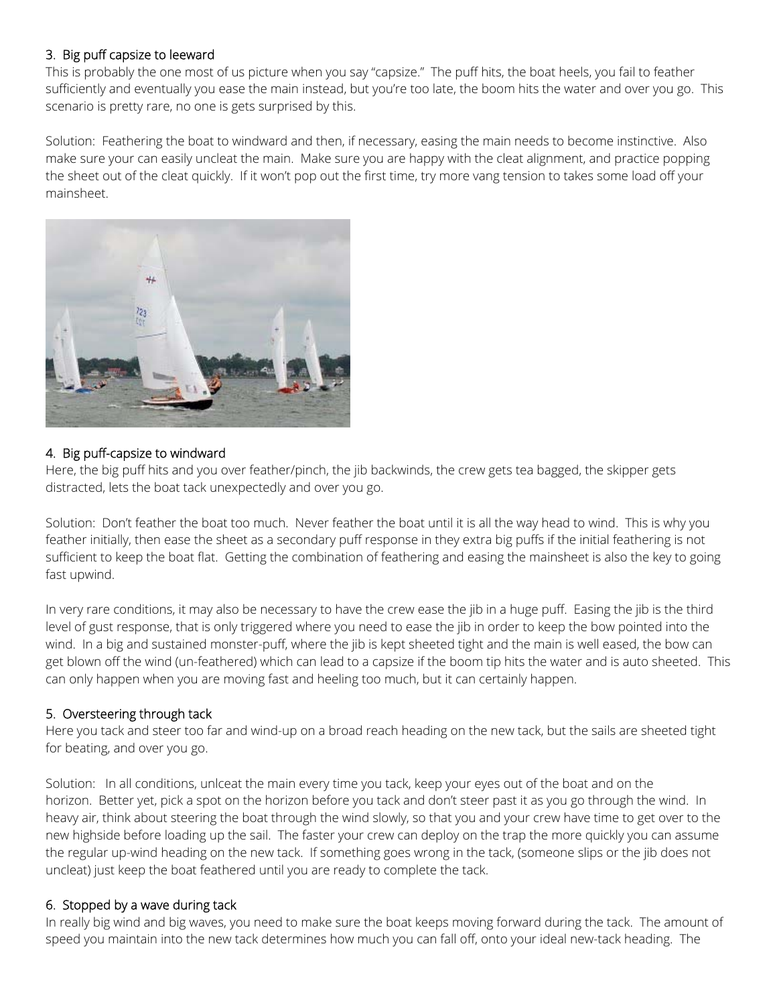## 3. Big puff capsize to leeward

This is probably the one most of us picture when you say "capsize." The puff hits, the boat heels, you fail to feather sufficiently and eventually you ease the main instead, but you're too late, the boom hits the water and over you go. This scenario is pretty rare, no one is gets surprised by this.

Solution: Feathering the boat to windward and then, if necessary, easing the main needs to become instinctive. Also make sure your can easily uncleat the main. Make sure you are happy with the cleat alignment, and practice popping the sheet out of the cleat quickly. If it won't pop out the first time, try more vang tension to takes some load off your mainsheet.



# 4. Big puff-capsize to windward

Here, the big puff hits and you over feather/pinch, the jib backwinds, the crew gets tea bagged, the skipper gets distracted, lets the boat tack unexpectedly and over you go.

Solution: Don't feather the boat too much. Never feather the boat until it is all the way head to wind. This is why you feather initially, then ease the sheet as a secondary puff response in they extra big puffs if the initial feathering is not sufficient to keep the boat flat. Getting the combination of feathering and easing the mainsheet is also the key to going fast upwind.

In very rare conditions, it may also be necessary to have the crew ease the jib in a huge puff. Easing the jib is the third level of gust response, that is only triggered where you need to ease the jib in order to keep the bow pointed into the wind. In a big and sustained monster-puff, where the jib is kept sheeted tight and the main is well eased, the bow can get blown off the wind (un-feathered) which can lead to a capsize if the boom tip hits the water and is auto sheeted. This can only happen when you are moving fast and heeling too much, but it can certainly happen.

# 5. Oversteering through tack

Here you tack and steer too far and wind-up on a broad reach heading on the new tack, but the sails are sheeted tight for beating, and over you go.

Solution: In all conditions, unlceat the main every time you tack, keep your eyes out of the boat and on the horizon. Better yet, pick a spot on the horizon before you tack and don't steer past it as you go through the wind. In heavy air, think about steering the boat through the wind slowly, so that you and your crew have time to get over to the new highside before loading up the sail. The faster your crew can deploy on the trap the more quickly you can assume the regular up-wind heading on the new tack. If something goes wrong in the tack, (someone slips or the jib does not uncleat) just keep the boat feathered until you are ready to complete the tack.

#### 6. Stopped by a wave during tack

In really big wind and big waves, you need to make sure the boat keeps moving forward during the tack. The amount of speed you maintain into the new tack determines how much you can fall off, onto your ideal new-tack heading. The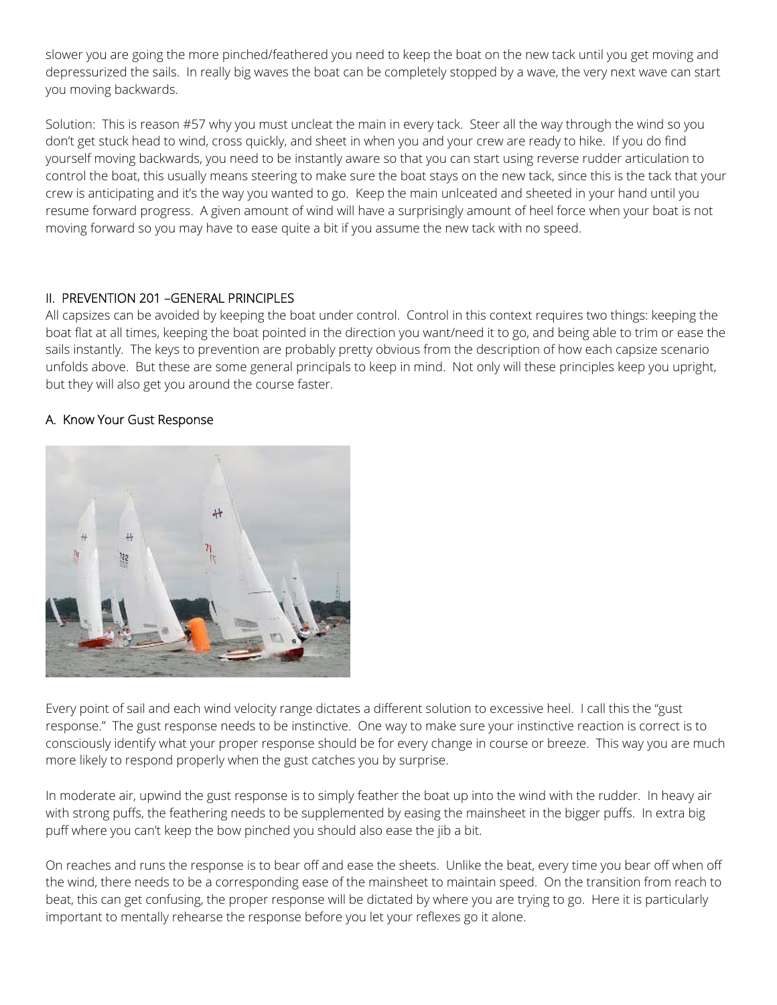slower you are going the more pinched/feathered you need to keep the boat on the new tack until you get moving and depressurized the sails. In really big waves the boat can be completely stopped by a wave, the very next wave can start you moving backwards.

Solution: This is reason #57 why you must uncleat the main in every tack. Steer all the way through the wind so you don't get stuck head to wind, cross quickly, and sheet in when you and your crew are ready to hike. If you do find yourself moving backwards, you need to be instantly aware so that you can start using reverse rudder articulation to control the boat, this usually means steering to make sure the boat stays on the new tack, since this is the tack that your crew is anticipating and it's the way you wanted to go. Keep the main unlceated and sheeted in your hand until you resume forward progress. A given amount of wind will have a surprisingly amount of heel force when your boat is not moving forward so you may have to ease quite a bit if you assume the new tack with no speed.

## II. PREVENTION 201 –GENERAL PRINCIPLES

All capsizes can be avoided by keeping the boat under control. Control in this context requires two things: keeping the boat flat at all times, keeping the boat pointed in the direction you want/need it to go, and being able to trim or ease the sails instantly. The keys to prevention are probably pretty obvious from the description of how each capsize scenario unfolds above. But these are some general principals to keep in mind. Not only will these principles keep you upright, but they will also get you around the course faster.

## A. Know Your Gust Response



Every point of sail and each wind velocity range dictates a different solution to excessive heel. I call this the "gust response." The gust response needs to be instinctive. One way to make sure your instinctive reaction is correct is to consciously identify what your proper response should be for every change in course or breeze. This way you are much more likely to respond properly when the gust catches you by surprise.

In moderate air, upwind the gust response is to simply feather the boat up into the wind with the rudder. In heavy air with strong puffs, the feathering needs to be supplemented by easing the mainsheet in the bigger puffs. In extra big puff where you can't keep the bow pinched you should also ease the jib a bit.

On reaches and runs the response is to bear off and ease the sheets. Unlike the beat, every time you bear off when off the wind, there needs to be a corresponding ease of the mainsheet to maintain speed. On the transition from reach to beat, this can get confusing, the proper response will be dictated by where you are trying to go. Here it is particularly important to mentally rehearse the response before you let your reflexes go it alone.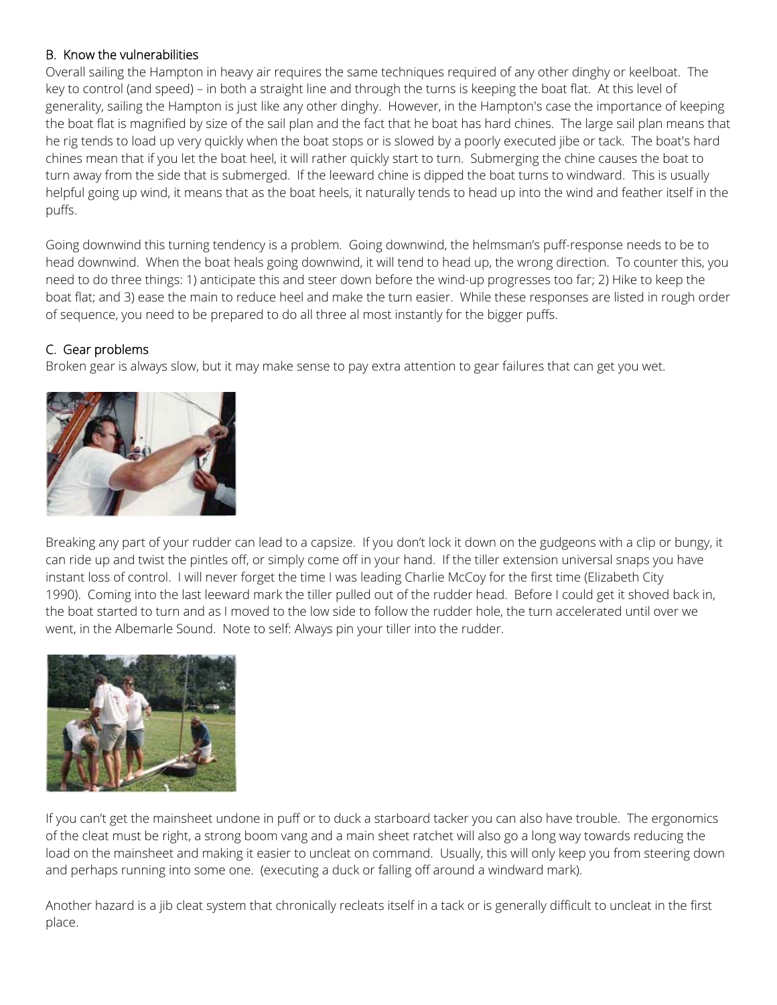## B. Know the vulnerabilities

Overall sailing the Hampton in heavy air requires the same techniques required of any other dinghy or keelboat. The key to control (and speed) – in both a straight line and through the turns is keeping the boat flat. At this level of generality, sailing the Hampton is just like any other dinghy. However, in the Hampton's case the importance of keeping the boat flat is magnified by size of the sail plan and the fact that he boat has hard chines. The large sail plan means that he rig tends to load up very quickly when the boat stops or is slowed by a poorly executed jibe or tack. The boat's hard chines mean that if you let the boat heel, it will rather quickly start to turn. Submerging the chine causes the boat to turn away from the side that is submerged. If the leeward chine is dipped the boat turns to windward. This is usually helpful going up wind, it means that as the boat heels, it naturally tends to head up into the wind and feather itself in the puffs.

Going downwind this turning tendency is a problem. Going downwind, the helmsman's puff-response needs to be to head downwind. When the boat heals going downwind, it will tend to head up, the wrong direction. To counter this, you need to do three things: 1) anticipate this and steer down before the wind-up progresses too far; 2) Hike to keep the boat flat; and 3) ease the main to reduce heel and make the turn easier. While these responses are listed in rough order of sequence, you need to be prepared to do all three al most instantly for the bigger puffs.

# C. Gear problems

Broken gear is always slow, but it may make sense to pay extra attention to gear failures that can get you wet.



Breaking any part of your rudder can lead to a capsize. If you don't lock it down on the gudgeons with a clip or bungy, it can ride up and twist the pintles off, or simply come off in your hand. If the tiller extension universal snaps you have instant loss of control. I will never forget the time I was leading Charlie McCoy for the first time (Elizabeth City 1990). Coming into the last leeward mark the tiller pulled out of the rudder head. Before I could get it shoved back in, the boat started to turn and as I moved to the low side to follow the rudder hole, the turn accelerated until over we went, in the Albemarle Sound. Note to self: Always pin your tiller into the rudder.



If you can't get the mainsheet undone in puff or to duck a starboard tacker you can also have trouble. The ergonomics of the cleat must be right, a strong boom vang and a main sheet ratchet will also go a long way towards reducing the load on the mainsheet and making it easier to uncleat on command. Usually, this will only keep you from steering down and perhaps running into some one. (executing a duck or falling off around a windward mark).

Another hazard is a jib cleat system that chronically recleats itself in a tack or is generally difficult to uncleat in the first place.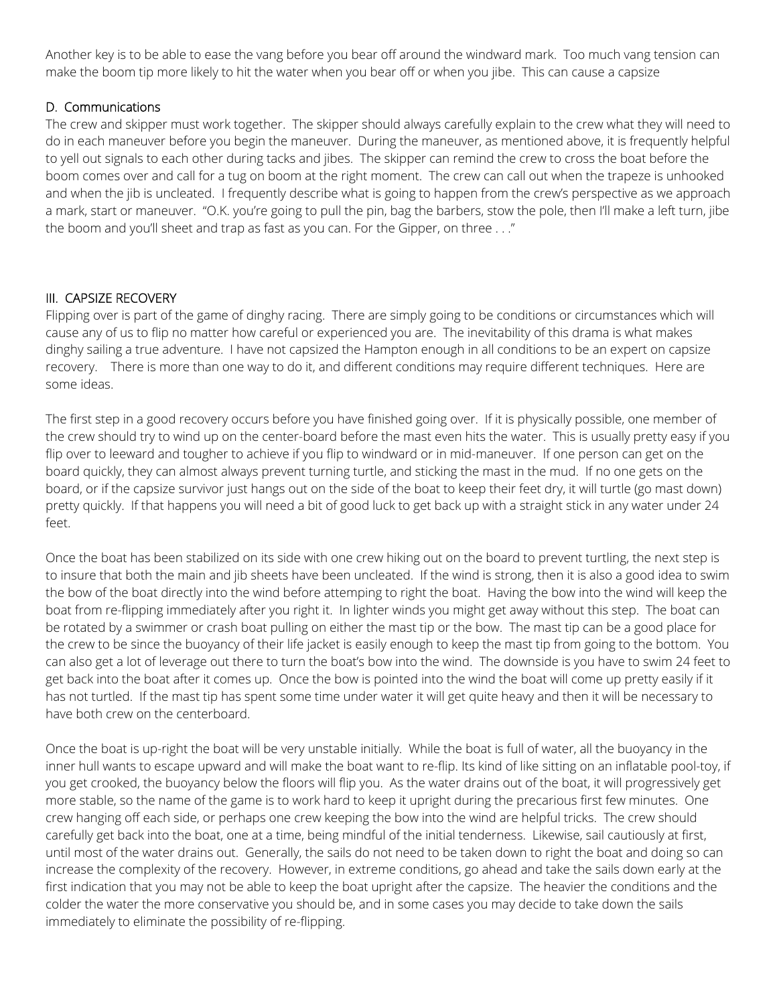Another key is to be able to ease the vang before you bear off around the windward mark. Too much vang tension can make the boom tip more likely to hit the water when you bear off or when you jibe. This can cause a capsize

## D. Communications

The crew and skipper must work together. The skipper should always carefully explain to the crew what they will need to do in each maneuver before you begin the maneuver. During the maneuver, as mentioned above, it is frequently helpful to yell out signals to each other during tacks and jibes. The skipper can remind the crew to cross the boat before the boom comes over and call for a tug on boom at the right moment. The crew can call out when the trapeze is unhooked and when the jib is uncleated. I frequently describe what is going to happen from the crew's perspective as we approach a mark, start or maneuver. "O.K. you're going to pull the pin, bag the barbers, stow the pole, then I'll make a left turn, jibe the boom and you'll sheet and trap as fast as you can. For the Gipper, on three . . ."

## III. CAPSIZE RECOVERY

Flipping over is part of the game of dinghy racing. There are simply going to be conditions or circumstances which will cause any of us to flip no matter how careful or experienced you are. The inevitability of this drama is what makes dinghy sailing a true adventure. I have not capsized the Hampton enough in all conditions to be an expert on capsize recovery. There is more than one way to do it, and different conditions may require different techniques. Here are some ideas.

The first step in a good recovery occurs before you have finished going over. If it is physically possible, one member of the crew should try to wind up on the center-board before the mast even hits the water. This is usually pretty easy if you flip over to leeward and tougher to achieve if you flip to windward or in mid-maneuver. If one person can get on the board quickly, they can almost always prevent turning turtle, and sticking the mast in the mud. If no one gets on the board, or if the capsize survivor just hangs out on the side of the boat to keep their feet dry, it will turtle (go mast down) pretty quickly. If that happens you will need a bit of good luck to get back up with a straight stick in any water under 24 feet.

Once the boat has been stabilized on its side with one crew hiking out on the board to prevent turtling, the next step is to insure that both the main and jib sheets have been uncleated. If the wind is strong, then it is also a good idea to swim the bow of the boat directly into the wind before attemping to right the boat. Having the bow into the wind will keep the boat from re-flipping immediately after you right it. In lighter winds you might get away without this step. The boat can be rotated by a swimmer or crash boat pulling on either the mast tip or the bow. The mast tip can be a good place for the crew to be since the buoyancy of their life jacket is easily enough to keep the mast tip from going to the bottom. You can also get a lot of leverage out there to turn the boat's bow into the wind. The downside is you have to swim 24 feet to get back into the boat after it comes up. Once the bow is pointed into the wind the boat will come up pretty easily if it has not turtled. If the mast tip has spent some time under water it will get quite heavy and then it will be necessary to have both crew on the centerboard.

Once the boat is up-right the boat will be very unstable initially. While the boat is full of water, all the buoyancy in the inner hull wants to escape upward and will make the boat want to re-flip. Its kind of like sitting on an inflatable pool-toy, if you get crooked, the buoyancy below the floors will flip you. As the water drains out of the boat, it will progressively get more stable, so the name of the game is to work hard to keep it upright during the precarious first few minutes. One crew hanging off each side, or perhaps one crew keeping the bow into the wind are helpful tricks. The crew should carefully get back into the boat, one at a time, being mindful of the initial tenderness. Likewise, sail cautiously at first, until most of the water drains out. Generally, the sails do not need to be taken down to right the boat and doing so can increase the complexity of the recovery. However, in extreme conditions, go ahead and take the sails down early at the first indication that you may not be able to keep the boat upright after the capsize. The heavier the conditions and the colder the water the more conservative you should be, and in some cases you may decide to take down the sails immediately to eliminate the possibility of re-flipping.